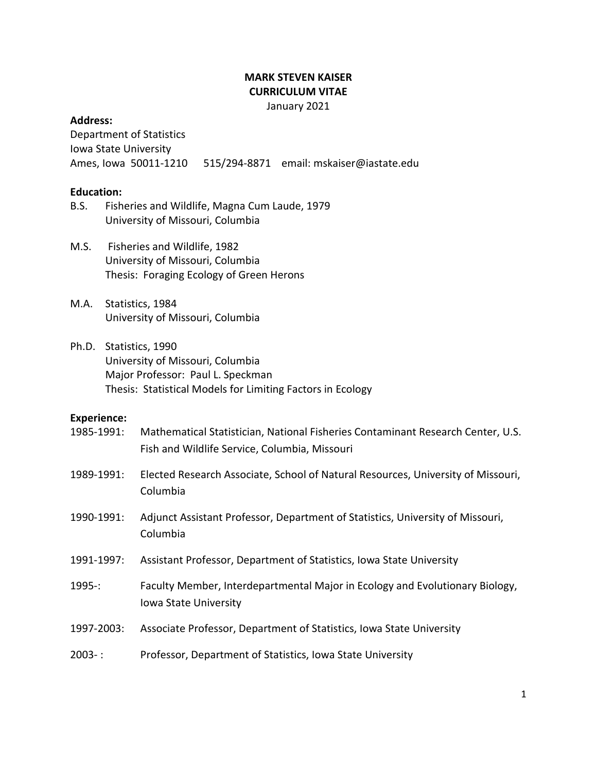## **MARK STEVEN KAISER CURRICULUM VITAE** January 2021

### **Address:**

Department of Statistics Iowa State University Ames, Iowa 50011-1210 515/294-8871 email: mskaiser@iastate.edu

## **Education:**

- B.S. Fisheries and Wildlife, Magna Cum Laude, 1979 University of Missouri, Columbia
- M.S. Fisheries and Wildlife, 1982 University of Missouri, Columbia Thesis: Foraging Ecology of Green Herons
- M.A. Statistics, 1984 University of Missouri, Columbia
- Ph.D. Statistics, 1990 University of Missouri, Columbia Major Professor: Paul L. Speckman Thesis: Statistical Models for Limiting Factors in Ecology

### **Experience:**

- 1985-1991: Mathematical Statistician, National Fisheries Contaminant Research Center, U.S. Fish and Wildlife Service, Columbia, Missouri
- 1989-1991: Elected Research Associate, School of Natural Resources, University of Missouri, Columbia
- 1990-1991: Adjunct Assistant Professor, Department of Statistics, University of Missouri, Columbia
- 1991-1997: Assistant Professor, Department of Statistics, Iowa State University
- 1995-: Faculty Member, Interdepartmental Major in Ecology and Evolutionary Biology, Iowa State University
- 1997-2003: Associate Professor, Department of Statistics, Iowa State University
- 2003- : Professor, Department of Statistics, Iowa State University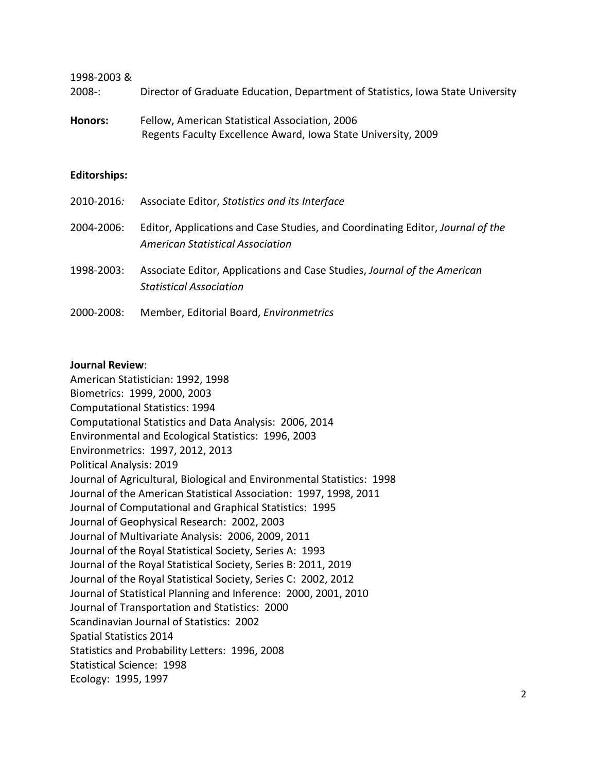1998-2003 &

- 2008-: Director of Graduate Education, Department of Statistics, Iowa State University
- **Honors:** Fellow, American Statistical Association, 2006 Regents Faculty Excellence Award, Iowa State University, 2009

#### **Editorships:**

| 2010-2016: | Associate Editor, Statistics and its Interface                                                                     |
|------------|--------------------------------------------------------------------------------------------------------------------|
| 2004-2006: | Editor, Applications and Case Studies, and Coordinating Editor, Journal of the<br>American Statistical Association |
| 1998-2003: | Associate Editor, Applications and Case Studies, Journal of the American<br><b>Statistical Association</b>         |
| 2000-2008: | Member, Editorial Board, Environmetrics                                                                            |

#### **Journal Review**:

American Statistician: 1992, 1998 Biometrics: 1999, 2000, 2003 Computational Statistics: 1994 Computational Statistics and Data Analysis: 2006, 2014 Environmental and Ecological Statistics: 1996, 2003 Environmetrics: 1997, 2012, 2013 Political Analysis: 2019 Journal of Agricultural, Biological and Environmental Statistics: 1998 Journal of the American Statistical Association: 1997, 1998, 2011 Journal of Computational and Graphical Statistics: 1995 Journal of Geophysical Research: 2002, 2003 Journal of Multivariate Analysis: 2006, 2009, 2011 Journal of the Royal Statistical Society, Series A: 1993 Journal of the Royal Statistical Society, Series B: 2011, 2019 Journal of the Royal Statistical Society, Series C: 2002, 2012 Journal of Statistical Planning and Inference: 2000, 2001, 2010 Journal of Transportation and Statistics: 2000 Scandinavian Journal of Statistics: 2002 Spatial Statistics 2014 Statistics and Probability Letters: 1996, 2008 Statistical Science: 1998 Ecology: 1995, 1997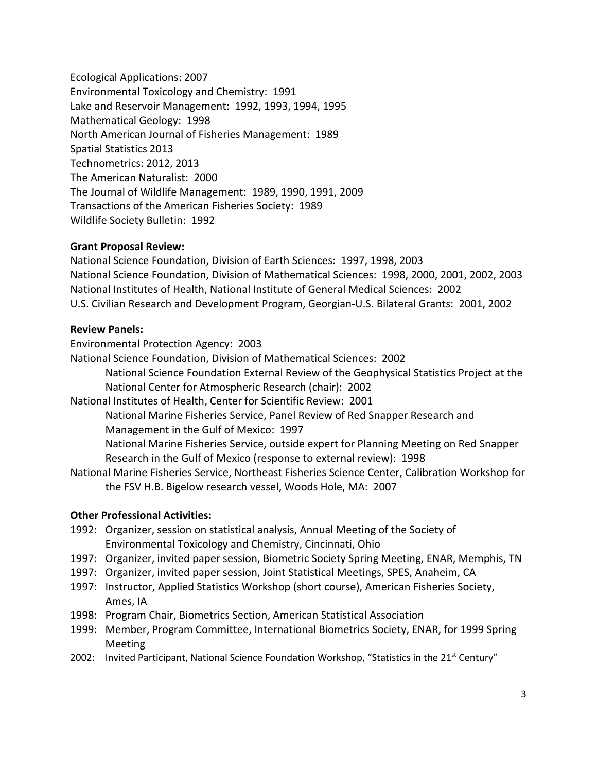Ecological Applications: 2007 Environmental Toxicology and Chemistry: 1991 Lake and Reservoir Management: 1992, 1993, 1994, 1995 Mathematical Geology: 1998 North American Journal of Fisheries Management: 1989 Spatial Statistics 2013 Technometrics: 2012, 2013 The American Naturalist: 2000 The Journal of Wildlife Management: 1989, 1990, 1991, 2009 Transactions of the American Fisheries Society: 1989 Wildlife Society Bulletin: 1992

## **Grant Proposal Review:**

National Science Foundation, Division of Earth Sciences: 1997, 1998, 2003 National Science Foundation, Division of Mathematical Sciences: 1998, 2000, 2001, 2002, 2003 National Institutes of Health, National Institute of General Medical Sciences: 2002 U.S. Civilian Research and Development Program, Georgian-U.S. Bilateral Grants: 2001, 2002

## **Review Panels:**

Environmental Protection Agency: 2003

National Science Foundation, Division of Mathematical Sciences: 2002

National Science Foundation External Review of the Geophysical Statistics Project at the National Center for Atmospheric Research (chair): 2002

National Institutes of Health, Center for Scientific Review: 2001

National Marine Fisheries Service, Panel Review of Red Snapper Research and Management in the Gulf of Mexico: 1997

National Marine Fisheries Service, outside expert for Planning Meeting on Red Snapper Research in the Gulf of Mexico (response to external review): 1998

National Marine Fisheries Service, Northeast Fisheries Science Center, Calibration Workshop for the FSV H.B. Bigelow research vessel, Woods Hole, MA: 2007

# **Other Professional Activities:**

- 1992: Organizer, session on statistical analysis, Annual Meeting of the Society of Environmental Toxicology and Chemistry, Cincinnati, Ohio
- 1997: Organizer, invited paper session, Biometric Society Spring Meeting, ENAR, Memphis, TN
- 1997: Organizer, invited paper session, Joint Statistical Meetings, SPES, Anaheim, CA
- 1997: Instructor, Applied Statistics Workshop (short course), American Fisheries Society, Ames, IA
- 1998: Program Chair, Biometrics Section, American Statistical Association
- 1999: Member, Program Committee, International Biometrics Society, ENAR, for 1999 Spring Meeting
- 2002: Invited Participant, National Science Foundation Workshop, "Statistics in the 21<sup>st</sup> Century"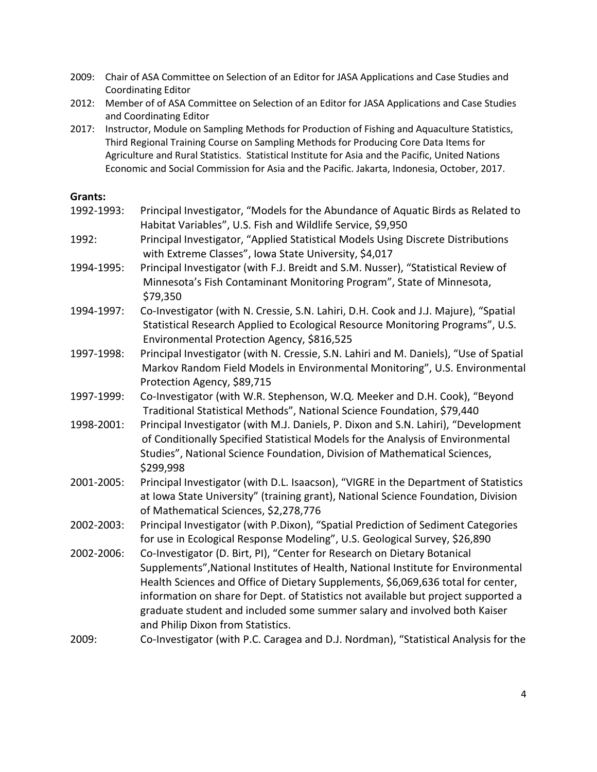- 2009: Chair of ASA Committee on Selection of an Editor for JASA Applications and Case Studies and Coordinating Editor
- 2012: Member of of ASA Committee on Selection of an Editor for JASA Applications and Case Studies and Coordinating Editor
- 2017: Instructor, Module on Sampling Methods for Production of Fishing and Aquaculture Statistics, Third Regional Training Course on Sampling Methods for Producing Core Data Items for Agriculture and Rural Statistics. Statistical Institute for Asia and the Pacific, United Nations Economic and Social Commission for Asia and the Pacific. Jakarta, Indonesia, October, 2017.

## **Grants:**

- 1992-1993: Principal Investigator, "Models for the Abundance of Aquatic Birds as Related to Habitat Variables", U.S. Fish and Wildlife Service, \$9,950
- 1992: Principal Investigator, "Applied Statistical Models Using Discrete Distributions with Extreme Classes", Iowa State University, \$4,017
- 1994-1995: Principal Investigator (with F.J. Breidt and S.M. Nusser), "Statistical Review of Minnesota's Fish Contaminant Monitoring Program", State of Minnesota, \$79,350
- 1994-1997: Co-Investigator (with N. Cressie, S.N. Lahiri, D.H. Cook and J.J. Majure), "Spatial Statistical Research Applied to Ecological Resource Monitoring Programs", U.S. Environmental Protection Agency, \$816,525
- 1997-1998: Principal Investigator (with N. Cressie, S.N. Lahiri and M. Daniels), "Use of Spatial Markov Random Field Models in Environmental Monitoring", U.S. Environmental Protection Agency, \$89,715
- 1997-1999: Co-Investigator (with W.R. Stephenson, W.Q. Meeker and D.H. Cook), "Beyond Traditional Statistical Methods", National Science Foundation, \$79,440
- 1998-2001: Principal Investigator (with M.J. Daniels, P. Dixon and S.N. Lahiri), "Development of Conditionally Specified Statistical Models for the Analysis of Environmental Studies", National Science Foundation, Division of Mathematical Sciences, \$299,998
- 2001-2005: Principal Investigator (with D.L. Isaacson), "VIGRE in the Department of Statistics at Iowa State University" (training grant), National Science Foundation, Division of Mathematical Sciences, \$2,278,776
- 2002-2003: Principal Investigator (with P.Dixon), "Spatial Prediction of Sediment Categories for use in Ecological Response Modeling", U.S. Geological Survey, \$26,890
- 2002-2006: Co-Investigator (D. Birt, PI), "Center for Research on Dietary Botanical Supplements",National Institutes of Health, National Institute for Environmental Health Sciences and Office of Dietary Supplements, \$6,069,636 total for center, information on share for Dept. of Statistics not available but project supported a graduate student and included some summer salary and involved both Kaiser and Philip Dixon from Statistics.
- 2009: Co-Investigator (with P.C. Caragea and D.J. Nordman), "Statistical Analysis for the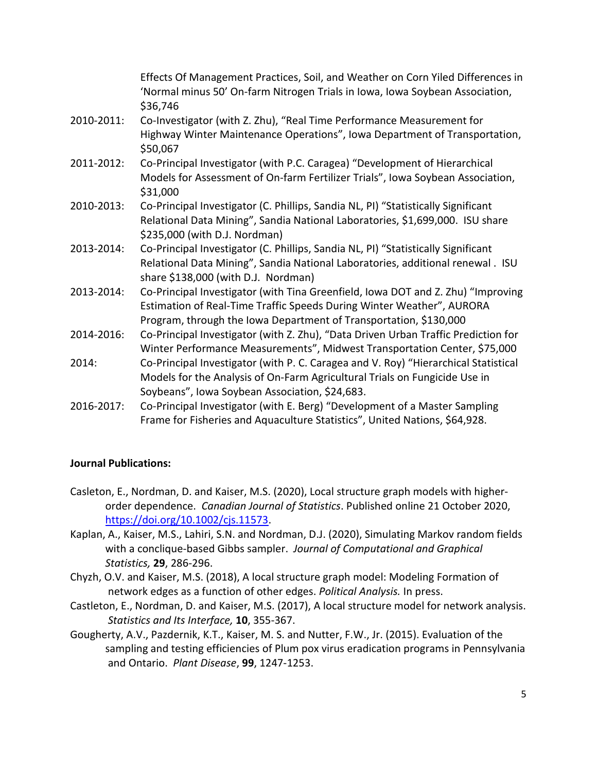Effects Of Management Practices, Soil, and Weather on Corn Yiled Differences in 'Normal minus 50' On-farm Nitrogen Trials in Iowa, Iowa Soybean Association, \$36,746

- 2010-2011: Co-Investigator (with Z. Zhu), "Real Time Performance Measurement for Highway Winter Maintenance Operations", Iowa Department of Transportation, \$50,067
- 2011-2012: Co-Principal Investigator (with P.C. Caragea) "Development of Hierarchical Models for Assessment of On-farm Fertilizer Trials", Iowa Soybean Association, \$31,000
- 2010-2013: Co-Principal Investigator (C. Phillips, Sandia NL, PI) "Statistically Significant Relational Data Mining", Sandia National Laboratories, \$1,699,000. ISU share \$235,000 (with D.J. Nordman)
- 2013-2014: Co-Principal Investigator (C. Phillips, Sandia NL, PI) "Statistically Significant Relational Data Mining", Sandia National Laboratories, additional renewal . ISU share \$138,000 (with D.J. Nordman)
- 2013-2014: Co-Principal Investigator (with Tina Greenfield, Iowa DOT and Z. Zhu) "Improving Estimation of Real-Time Traffic Speeds During Winter Weather", AURORA Program, through the Iowa Department of Transportation, \$130,000
- 2014-2016: Co-Principal Investigator (with Z. Zhu), "Data Driven Urban Traffic Prediction for Winter Performance Measurements", Midwest Transportation Center, \$75,000
- 2014: Co-Principal Investigator (with P. C. Caragea and V. Roy) "Hierarchical Statistical Models for the Analysis of On-Farm Agricultural Trials on Fungicide Use in Soybeans", Iowa Soybean Association, \$24,683.
- 2016-2017: Co-Principal Investigator (with E. Berg) "Development of a Master Sampling Frame for Fisheries and Aquaculture Statistics", United Nations, \$64,928.

# **Journal Publications:**

- Casleton, E., Nordman, D. and Kaiser, M.S. (2020), Local structure graph models with higherorder dependence. *Canadian Journal of Statistics*. Published online 21 October 2020, [https://doi.org/10.1002/cjs.11573.](https://doi.org/10.1002/cjs.11573)
- Kaplan, A., Kaiser, M.S., Lahiri, S.N. and Nordman, D.J. (2020), Simulating Markov random fields with a conclique-based Gibbs sampler. *Journal of Computational and Graphical Statistics,* **29**, 286-296.
- Chyzh, O.V. and Kaiser, M.S. (2018), A local structure graph model: Modeling Formation of network edges as a function of other edges. *Political Analysis.* In press.
- Castleton, E., Nordman, D. and Kaiser, M.S. (2017), A local structure model for network analysis. *Statistics and Its Interface,* **10**, 355-367.
- Gougherty, A.V., Pazdernik, K.T., Kaiser, M. S. and Nutter, F.W., Jr. (2015). Evaluation of the sampling and testing efficiencies of Plum pox virus eradication programs in Pennsylvania and Ontario. *Plant Disease*, **99**, 1247-1253.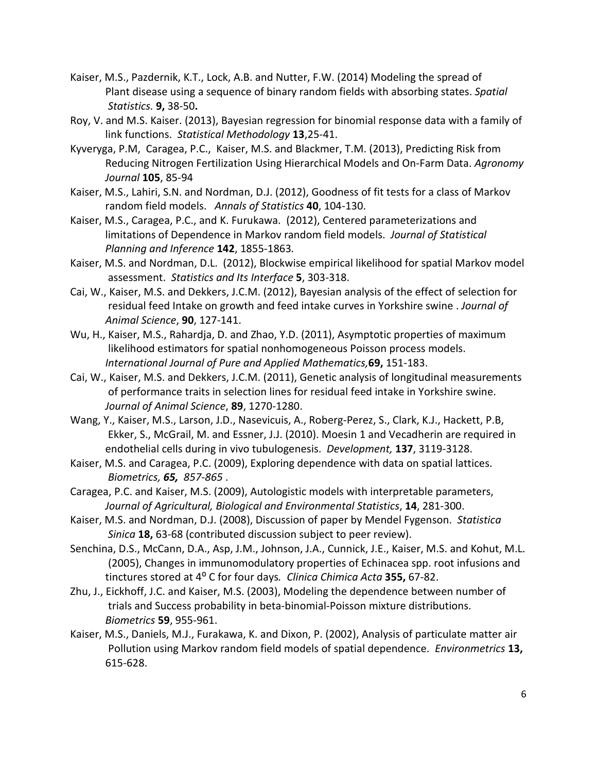- Kaiser, M.S., Pazdernik, K.T., Lock, A.B. and Nutter, F.W. (2014) Modeling the spread of Plant disease using a sequence of binary random fields with absorbing states. *Spatial Statistics.* **9,** 38-50**.**
- Roy, V. and M.S. Kaiser. (2013), Bayesian regression for binomial response data with a family of link functions. *Statistical Methodology* **13**,25-41.
- Kyveryga, P.M, Caragea, P.C., Kaiser, M.S. and Blackmer, T.M. (2013), Predicting Risk from Reducing Nitrogen Fertilization Using Hierarchical Models and On-Farm Data. *Agronomy Journal* **105**, 85-94
- Kaiser, M.S., Lahiri, S.N. and Nordman, D.J. (2012), Goodness of fit tests for a class of Markov random field models. *Annals of Statistics* **40**, 104-130.
- Kaiser, M.S., Caragea, P.C., and K. Furukawa. (2012), Centered parameterizations and limitations of Dependence in Markov random field models. *Journal of Statistical Planning and Inference* **142**, 1855-1863*.*
- Kaiser, M.S. and Nordman, D.L. (2012), Blockwise empirical likelihood for spatial Markov model assessment. *Statistics and Its Interface* **5**, 303-318.
- Cai, W., Kaiser, M.S. and Dekkers, J.C.M. (2012), Bayesian analysis of the effect of selection for residual feed Intake on growth and feed intake curves in Yorkshire swine . *Journal of Animal Science*, **90**, 127-141.
- Wu, H., Kaiser, M.S., Rahardja, D. and Zhao, Y.D. (2011), Asymptotic properties of maximum likelihood estimators for spatial nonhomogeneous Poisson process models. *International Journal of Pure and Applied Mathematics,***69,** 151-183.
- Cai, W., Kaiser, M.S. and Dekkers, J.C.M. (2011), Genetic analysis of longitudinal measurements of performance traits in selection lines for residual feed intake in Yorkshire swine. *Journal of Animal Science*, **89**, 1270-1280.
- Wang, Y., Kaiser, M.S., Larson, J.D., Nasevicuis, A., Roberg-Perez, S., Clark, K.J., Hackett, P.B, Ekker, S., McGrail, M. and Essner, J.J. (2010). Moesin 1 and Vecadherin are required in endothelial cells during in vivo tubulogenesis. *Development,* **137**, 3119-3128.
- Kaiser, M.S. and Caragea, P.C. (2009), Exploring dependence with data on spatial lattices. *Biometrics, 65, 857-865* .
- Caragea, P.C. and Kaiser, M.S. (2009), Autologistic models with interpretable parameters, *Journal of Agricultural, Biological and Environmental Statistics*, **14**, 281-300.
- Kaiser, M.S. and Nordman, D.J. (2008), Discussion of paper by Mendel Fygenson. *Statistica Sinica* **18,** 63-68 (contributed discussion subject to peer review).
- Senchina, D.S., McCann, D.A., Asp, J.M., Johnson, J.A., Cunnick, J.E., Kaiser, M.S. and Kohut, M.L. (2005), Changes in immunomodulatory properties of Echinacea spp. root infusions and tinctures stored at 4⁰ C for four days*. Clinica Chimica Acta* **355,** 67-82.
- Zhu, J., Eickhoff, J.C. and Kaiser, M.S. (2003), Modeling the dependence between number of trials and Success probability in beta-binomial-Poisson mixture distributions. *Biometrics* **59**, 955-961.
- Kaiser, M.S., Daniels, M.J., Furakawa, K. and Dixon, P. (2002), Analysis of particulate matter air Pollution using Markov random field models of spatial dependence. *Environmetrics* **13,** 615-628.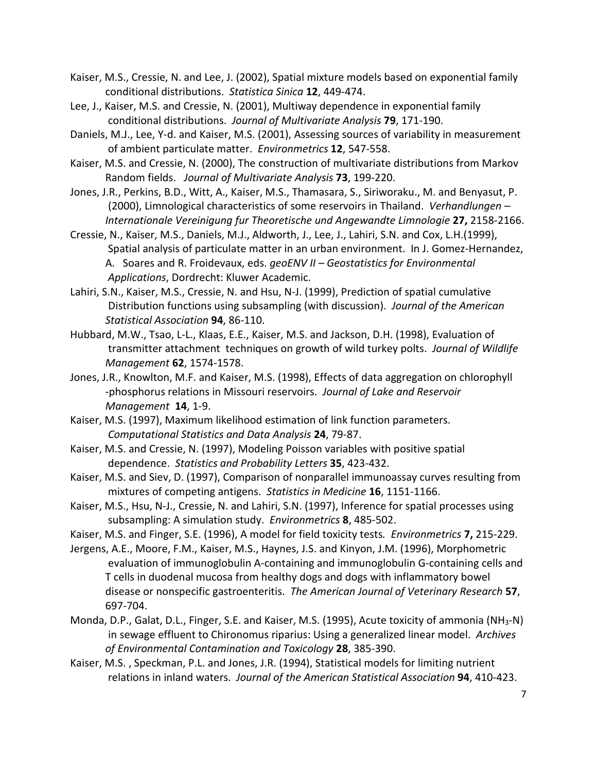- Kaiser, M.S., Cressie, N. and Lee, J. (2002), Spatial mixture models based on exponential family conditional distributions. *Statistica Sinica* **12**, 449-474.
- Lee, J., Kaiser, M.S. and Cressie, N. (2001), Multiway dependence in exponential family conditional distributions. *Journal of Multivariate Analysis* **79**, 171-190.
- Daniels, M.J., Lee, Y-d. and Kaiser, M.S. (2001), Assessing sources of variability in measurement of ambient particulate matter. *Environmetrics* **12**, 547-558.
- Kaiser, M.S. and Cressie, N. (2000), The construction of multivariate distributions from Markov Random fields. *Journal of Multivariate Analysis* **73**, 199-220.
- Jones, J.R., Perkins, B.D., Witt, A., Kaiser, M.S., Thamasara, S., Siriworaku., M. and Benyasut, P. (2000), Limnological characteristics of some reservoirs in Thailand. *Verhandlungen – Internationale Vereinigung fur Theoretische und Angewandte Limnologie* **27,** 2158-2166.
- Cressie, N., Kaiser, M.S., Daniels, M.J., Aldworth, J., Lee, J., Lahiri, S.N. and Cox, L.H.(1999), Spatial analysis of particulate matter in an urban environment. In J. Gomez-Hernandez, A. Soares and R. Froidevaux, eds. *geoENV II – Geostatistics for Environmental Applications*, Dordrecht: Kluwer Academic.
- Lahiri, S.N., Kaiser, M.S., Cressie, N. and Hsu, N-J. (1999), Prediction of spatial cumulative Distribution functions using subsampling (with discussion). *Journal of the American Statistical Association* **94**, 86-110.
- Hubbard, M.W., Tsao, L-L., Klaas, E.E., Kaiser, M.S. and Jackson, D.H. (1998), Evaluation of transmitter attachment techniques on growth of wild turkey polts. *Journal of Wildlife Management* **62**, 1574-1578.
- Jones, J.R., Knowlton, M.F. and Kaiser, M.S. (1998), Effects of data aggregation on chlorophyll -phosphorus relations in Missouri reservoirs. *Journal of Lake and Reservoir Management* **14**, 1-9.
- Kaiser, M.S. (1997), Maximum likelihood estimation of link function parameters. *Computational Statistics and Data Analysis* **24**, 79-87.
- Kaiser, M.S. and Cressie, N. (1997), Modeling Poisson variables with positive spatial dependence. *Statistics and Probability Letters* **35**, 423-432.
- Kaiser, M.S. and Siev, D. (1997), Comparison of nonparallel immunoassay curves resulting from mixtures of competing antigens. *Statistics in Medicine* **16**, 1151-1166.
- Kaiser, M.S., Hsu, N-J., Cressie, N. and Lahiri, S.N. (1997), Inference for spatial processes using subsampling: A simulation study. *Environmetrics* **8**, 485-502.
- Kaiser, M.S. and Finger, S.E. (1996), A model for field toxicity tests*. Environmetrics* **7,** 215-229.
- Jergens, A.E., Moore, F.M., Kaiser, M.S., Haynes, J.S. and Kinyon, J.M. (1996), Morphometric evaluation of immunoglobulin A-containing and immunoglobulin G-containing cells and T cells in duodenal mucosa from healthy dogs and dogs with inflammatory bowel disease or nonspecific gastroenteritis. *The American Journal of Veterinary Research* **57**, 697-704.
- Monda, D.P., Galat, D.L., Finger, S.E. and Kaiser, M.S. (1995), Acute toxicity of ammonia (NH3-N) in sewage effluent to Chironomus riparius: Using a generalized linear model. *Archives of Environmental Contamination and Toxicology* **28**, 385-390.
- Kaiser, M.S. , Speckman, P.L. and Jones, J.R. (1994), Statistical models for limiting nutrient relations in inland waters. *Journal of the American Statistical Association* **94**, 410-423.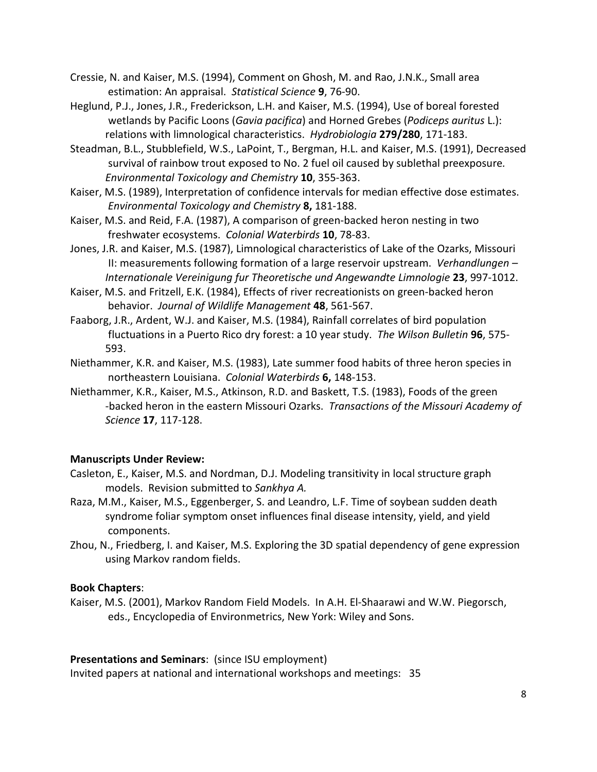- Cressie, N. and Kaiser, M.S. (1994), Comment on Ghosh, M. and Rao, J.N.K., Small area estimation: An appraisal. *Statistical Science* **9**, 76-90.
- Heglund, P.J., Jones, J.R., Frederickson, L.H. and Kaiser, M.S. (1994), Use of boreal forested wetlands by Pacific Loons (*Gavia pacifica*) and Horned Grebes (*Podiceps auritus* L.): relations with limnological characteristics. *Hydrobiologia* **279/280**, 171-183.
- Steadman, B.L., Stubblefield, W.S., LaPoint, T., Bergman, H.L. and Kaiser, M.S. (1991), Decreased survival of rainbow trout exposed to No. 2 fuel oil caused by sublethal preexposure*. Environmental Toxicology and Chemistry* **10**, 355-363.
- Kaiser, M.S. (1989), Interpretation of confidence intervals for median effective dose estimates. *Environmental Toxicology and Chemistry* **8,** 181-188.
- Kaiser, M.S. and Reid, F.A. (1987), A comparison of green-backed heron nesting in two freshwater ecosystems. *Colonial Waterbirds* **10**, 78-83.
- Jones, J.R. and Kaiser, M.S. (1987), Limnological characteristics of Lake of the Ozarks, Missouri II: measurements following formation of a large reservoir upstream. *Verhandlungen – Internationale Vereinigung fur Theoretische und Angewandte Limnologie* **23**, 997-1012.
- Kaiser, M.S. and Fritzell, E.K. (1984), Effects of river recreationists on green-backed heron behavior. *Journal of Wildlife Management* **48**, 561-567.
- Faaborg, J.R., Ardent, W.J. and Kaiser, M.S. (1984), Rainfall correlates of bird population fluctuations in a Puerto Rico dry forest: a 10 year study. *The Wilson Bulletin* **96**, 575- 593.
- Niethammer, K.R. and Kaiser, M.S. (1983), Late summer food habits of three heron species in northeastern Louisiana. *Colonial Waterbirds* **6,** 148-153.
- Niethammer, K.R., Kaiser, M.S., Atkinson, R.D. and Baskett, T.S. (1983), Foods of the green -backed heron in the eastern Missouri Ozarks. *Transactions of the Missouri Academy of Science* **17**, 117-128.

# **Manuscripts Under Review:**

- Casleton, E., Kaiser, M.S. and Nordman, D.J. Modeling transitivity in local structure graph models. Revision submitted to *Sankhya A.*
- Raza, M.M., Kaiser, M.S., Eggenberger, S. and Leandro, L.F. Time of soybean sudden death syndrome foliar symptom onset influences final disease intensity, yield, and yield components.
- Zhou, N., Friedberg, I. and Kaiser, M.S. Exploring the 3D spatial dependency of gene expression using Markov random fields.

## **Book Chapters**:

Kaiser, M.S. (2001), Markov Random Field Models. In A.H. El-Shaarawi and W.W. Piegorsch, eds., Encyclopedia of Environmetrics, New York: Wiley and Sons.

**Presentations and Seminars**: (since ISU employment)

Invited papers at national and international workshops and meetings: 35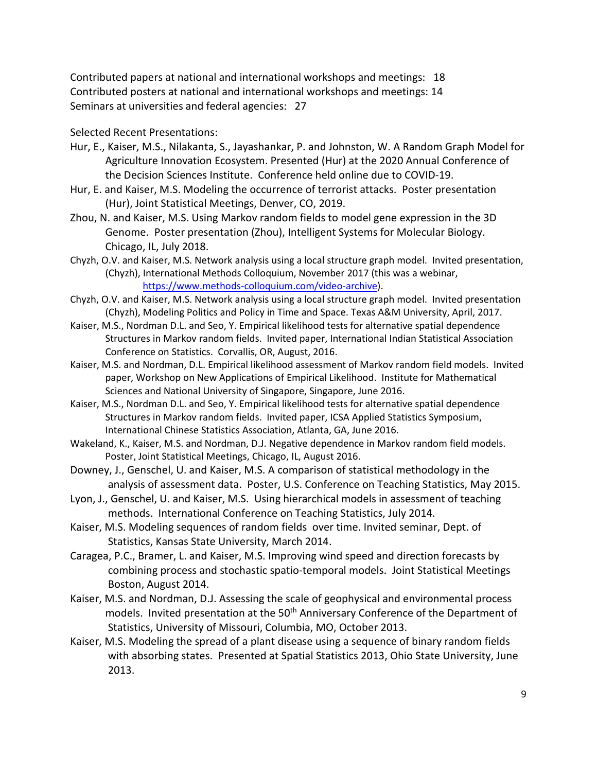Contributed papers at national and international workshops and meetings: 18 Contributed posters at national and international workshops and meetings: 14 Seminars at universities and federal agencies: 27

Selected Recent Presentations:

- Hur, E., Kaiser, M.S., Nilakanta, S., Jayashankar, P. and Johnston, W. A Random Graph Model for Agriculture Innovation Ecosystem. Presented (Hur) at the 2020 Annual Conference of the Decision Sciences Institute. Conference held online due to COVID-19.
- Hur, E. and Kaiser, M.S. Modeling the occurrence of terrorist attacks. Poster presentation (Hur), Joint Statistical Meetings, Denver, CO, 2019.
- Zhou, N. and Kaiser, M.S. Using Markov random fields to model gene expression in the 3D Genome. Poster presentation (Zhou), Intelligent Systems for Molecular Biology. Chicago, IL, July 2018.
- Chyzh, O.V. and Kaiser, M.S. Network analysis using a local structure graph model. Invited presentation, (Chyzh), International Methods Colloquium, November 2017 (this was a webinar, [https://www.methods-colloquium.com/video-archive\)](https://www.methods-colloquium.com/video-archive).
- Chyzh, O.V. and Kaiser, M.S. Network analysis using a local structure graph model. Invited presentation (Chyzh), Modeling Politics and Policy in Time and Space. Texas A&M University, April, 2017.
- Kaiser, M.S., Nordman D.L. and Seo, Y. Empirical likelihood tests for alternative spatial dependence Structures in Markov random fields. Invited paper, International Indian Statistical Association Conference on Statistics. Corvallis, OR, August, 2016.
- Kaiser, M.S. and Nordman, D.L. Empirical likelihood assessment of Markov random field models. Invited paper, Workshop on New Applications of Empirical Likelihood. Institute for Mathematical Sciences and National University of Singapore, Singapore, June 2016.
- Kaiser, M.S., Nordman D.L. and Seo, Y. Empirical likelihood tests for alternative spatial dependence Structures in Markov random fields. Invited paper, ICSA Applied Statistics Symposium, International Chinese Statistics Association, Atlanta, GA, June 2016.
- Wakeland, K., Kaiser, M.S. and Nordman, D.J. Negative dependence in Markov random field models. Poster, Joint Statistical Meetings, Chicago, IL, August 2016.
- Downey, J., Genschel, U. and Kaiser, M.S. A comparison of statistical methodology in the analysis of assessment data. Poster, U.S. Conference on Teaching Statistics, May 2015.
- Lyon, J., Genschel, U. and Kaiser, M.S. Using hierarchical models in assessment of teaching methods. International Conference on Teaching Statistics, July 2014.
- Kaiser, M.S. Modeling sequences of random fields over time. Invited seminar, Dept. of Statistics, Kansas State University, March 2014.
- Caragea, P.C., Bramer, L. and Kaiser, M.S. Improving wind speed and direction forecasts by combining process and stochastic spatio-temporal models. Joint Statistical Meetings Boston, August 2014.
- Kaiser, M.S. and Nordman, D.J. Assessing the scale of geophysical and environmental process models. Invited presentation at the 50<sup>th</sup> Anniversary Conference of the Department of Statistics, University of Missouri, Columbia, MO, October 2013.
- Kaiser, M.S. Modeling the spread of a plant disease using a sequence of binary random fields with absorbing states. Presented at Spatial Statistics 2013, Ohio State University, June 2013.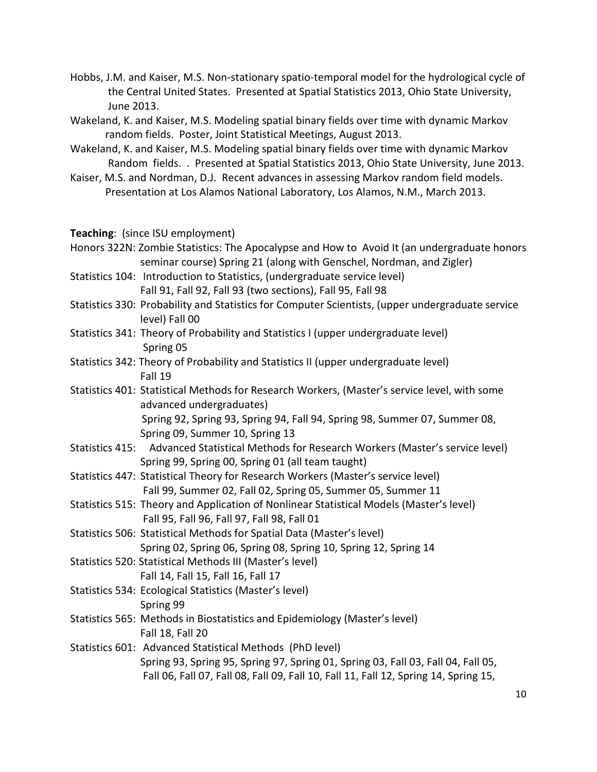- Hobbs, J.M. and Kaiser, M.S. Non-stationary spatio-temporal model for the hydrological cycle of the Central United States. Presented at Spatial Statistics 2013, Ohio State University, June 2013.
- Wakeland, K. and Kaiser, M.S. Modeling spatial binary fields over time with dynamic Markov random fields. Poster, Joint Statistical Meetings, August 2013.
- Wakeland, K. and Kaiser, M.S. Modeling spatial binary fields over time with dynamic Markov Random fields. . Presented at Spatial Statistics 2013, Ohio State University, June 2013.
- Kaiser, M.S. and Nordman, D.J. Recent advances in assessing Markov random field models. Presentation at Los Alamos National Laboratory, Los Alamos, N.M., March 2013.

**Teaching**: (since ISU employment)

- Honors 322N: Zombie Statistics: The Apocalypse and How to Avoid It (an undergraduate honors seminar course) Spring 21 (along with Genschel, Nordman, and Zigler)
- Statistics 104: Introduction to Statistics, (undergraduate service level) Fall 91, Fall 92, Fall 93 (two sections), Fall 95, Fall 98
- Statistics 330: Probability and Statistics for Computer Scientists, (upper undergraduate service level) Fall 00
- Statistics 341: Theory of Probability and Statistics I (upper undergraduate level) Spring 05
- Statistics 342: Theory of Probability and Statistics II (upper undergraduate level) Fall 19
- Statistics 401: Statistical Methods for Research Workers, (Master's service level, with some advanced undergraduates) Spring 92, Spring 93, Spring 94, Fall 94, Spring 98, Summer 07, Summer 08,
- Spring 09, Summer 10, Spring 13 Statistics 415: Advanced Statistical Methods for Research Workers (Master's service level) Spring 99, Spring 00, Spring 01 (all team taught)
- Statistics 447: Statistical Theory for Research Workers (Master's service level) Fall 99, Summer 02, Fall 02, Spring 05, Summer 05, Summer 11
- Statistics 515: Theory and Application of Nonlinear Statistical Models (Master's level) Fall 95, Fall 96, Fall 97, Fall 98, Fall 01
- Statistics 506: Statistical Methods for Spatial Data (Master's level) Spring 02, Spring 06, Spring 08, Spring 10, Spring 12, Spring 14
- Statistics 520: Statistical Methods III (Master's level)
- Fall 14, Fall 15, Fall 16, Fall 17 Statistics 534: Ecological Statistics (Master's level)

Spring 99

- Statistics 565: Methods in Biostatistics and Epidemiology (Master's level) Fall 18, Fall 20
- Statistics 601: Advanced Statistical Methods (PhD level) Spring 93, Spring 95, Spring 97, Spring 01, Spring 03, Fall 03, Fall 04, Fall 05, Fall 06, Fall 07, Fall 08, Fall 09, Fall 10, Fall 11, Fall 12, Spring 14, Spring 15,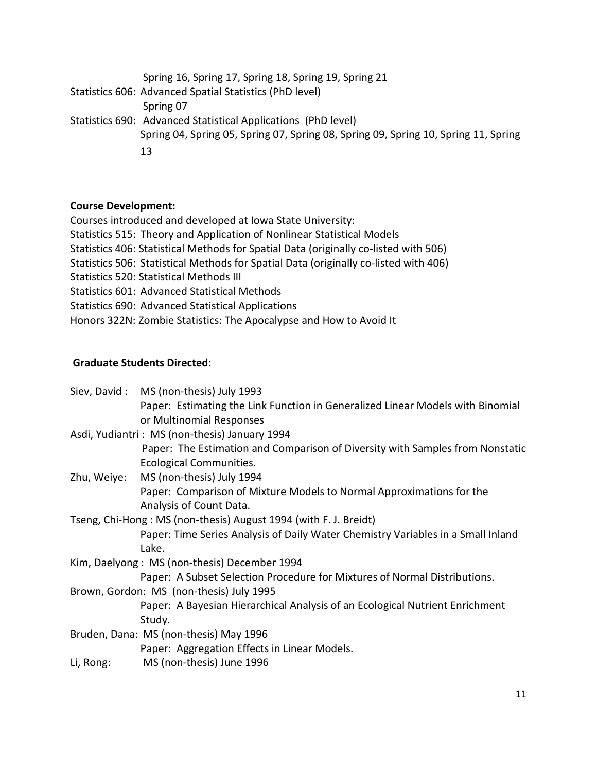Spring 16, Spring 17, Spring 18, Spring 19, Spring 21 Statistics 606: Advanced Spatial Statistics (PhD level) Spring 07 Statistics 690: Advanced Statistical Applications (PhD level) Spring 04, Spring 05, Spring 07, Spring 08, Spring 09, Spring 10, Spring 11, Spring 13

## **Course Development:**

Courses introduced and developed at Iowa State University:

- Statistics 515: Theory and Application of Nonlinear Statistical Models
- Statistics 406: Statistical Methods for Spatial Data (originally co-listed with 506)
- Statistics 506: Statistical Methods for Spatial Data (originally co-listed with 406)
- Statistics 520: Statistical Methods III
- Statistics 601: Advanced Statistical Methods
- Statistics 690: Advanced Statistical Applications
- Honors 322N: Zombie Statistics: The Apocalypse and How to Avoid It

# **Graduate Students Directed**:

|                                                                  | Siev, David: MS (non-thesis) July 1993                                           |  |
|------------------------------------------------------------------|----------------------------------------------------------------------------------|--|
|                                                                  | Paper: Estimating the Link Function in Generalized Linear Models with Binomial   |  |
|                                                                  | or Multinomial Responses                                                         |  |
| Asdi, Yudiantri: MS (non-thesis) January 1994                    |                                                                                  |  |
|                                                                  | Paper: The Estimation and Comparison of Diversity with Samples from Nonstatic    |  |
|                                                                  | Ecological Communities.                                                          |  |
| Zhu, Weiye:                                                      | MS (non-thesis) July 1994                                                        |  |
|                                                                  | Paper: Comparison of Mixture Models to Normal Approximations for the             |  |
|                                                                  | Analysis of Count Data.                                                          |  |
| Tseng, Chi-Hong: MS (non-thesis) August 1994 (with F. J. Breidt) |                                                                                  |  |
|                                                                  | Paper: Time Series Analysis of Daily Water Chemistry Variables in a Small Inland |  |
|                                                                  | Lake.                                                                            |  |
|                                                                  | Kim, Daelyong: MS (non-thesis) December 1994                                     |  |
|                                                                  | Paper: A Subset Selection Procedure for Mixtures of Normal Distributions.        |  |
| Brown, Gordon: MS (non-thesis) July 1995                         |                                                                                  |  |
|                                                                  | Paper: A Bayesian Hierarchical Analysis of an Ecological Nutrient Enrichment     |  |
|                                                                  | Study.                                                                           |  |
| Bruden, Dana: MS (non-thesis) May 1996                           |                                                                                  |  |
|                                                                  | Paper: Aggregation Effects in Linear Models.                                     |  |
| Li, Rong:                                                        | MS (non-thesis) June 1996                                                        |  |
|                                                                  |                                                                                  |  |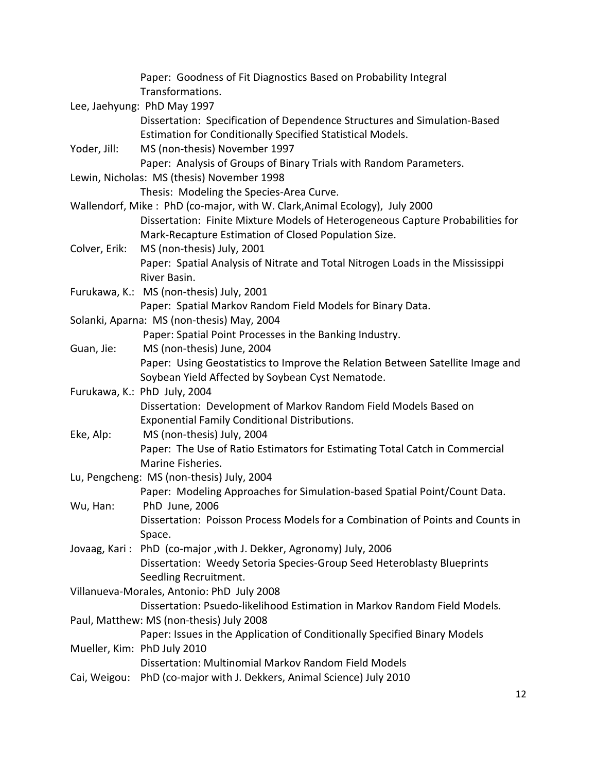|                                           | Paper: Goodness of Fit Diagnostics Based on Probability Integral<br>Transformations.                                                    |
|-------------------------------------------|-----------------------------------------------------------------------------------------------------------------------------------------|
|                                           | Lee, Jaehyung: PhD May 1997                                                                                                             |
|                                           | Dissertation: Specification of Dependence Structures and Simulation-Based<br>Estimation for Conditionally Specified Statistical Models. |
| Yoder, Jill:                              | MS (non-thesis) November 1997<br>Paper: Analysis of Groups of Binary Trials with Random Parameters.                                     |
|                                           | Lewin, Nicholas: MS (thesis) November 1998                                                                                              |
|                                           | Thesis: Modeling the Species-Area Curve.                                                                                                |
|                                           | Wallendorf, Mike: PhD (co-major, with W. Clark, Animal Ecology), July 2000                                                              |
|                                           | Dissertation: Finite Mixture Models of Heterogeneous Capture Probabilities for                                                          |
|                                           | Mark-Recapture Estimation of Closed Population Size.                                                                                    |
| Colver, Erik:                             | MS (non-thesis) July, 2001                                                                                                              |
|                                           | Paper: Spatial Analysis of Nitrate and Total Nitrogen Loads in the Mississippi<br>River Basin.                                          |
|                                           | Furukawa, K.: MS (non-thesis) July, 2001                                                                                                |
|                                           | Paper: Spatial Markov Random Field Models for Binary Data.                                                                              |
|                                           | Solanki, Aparna: MS (non-thesis) May, 2004                                                                                              |
|                                           | Paper: Spatial Point Processes in the Banking Industry.                                                                                 |
| Guan, Jie:                                | MS (non-thesis) June, 2004                                                                                                              |
|                                           | Paper: Using Geostatistics to Improve the Relation Between Satellite Image and                                                          |
|                                           | Soybean Yield Affected by Soybean Cyst Nematode.                                                                                        |
|                                           | Furukawa, K.: PhD July, 2004                                                                                                            |
|                                           | Dissertation: Development of Markov Random Field Models Based on                                                                        |
|                                           | <b>Exponential Family Conditional Distributions.</b>                                                                                    |
| Eke, Alp:                                 | MS (non-thesis) July, 2004                                                                                                              |
|                                           | Paper: The Use of Ratio Estimators for Estimating Total Catch in Commercial                                                             |
|                                           | Marine Fisheries.                                                                                                                       |
| Lu, Pengcheng: MS (non-thesis) July, 2004 |                                                                                                                                         |
|                                           | Paper: Modeling Approaches for Simulation-based Spatial Point/Count Data.                                                               |
| Wu, Han:                                  | PhD June, 2006                                                                                                                          |
|                                           | Dissertation: Poisson Process Models for a Combination of Points and Counts in                                                          |
|                                           | Space.                                                                                                                                  |
|                                           | Jovaag, Kari: PhD (co-major, with J. Dekker, Agronomy) July, 2006                                                                       |
|                                           | Dissertation: Weedy Setoria Species-Group Seed Heteroblasty Blueprints                                                                  |
|                                           | Seedling Recruitment.                                                                                                                   |
|                                           | Villanueva-Morales, Antonio: PhD July 2008                                                                                              |
|                                           | Dissertation: Psuedo-likelihood Estimation in Markov Random Field Models.                                                               |
|                                           | Paul, Matthew: MS (non-thesis) July 2008                                                                                                |
|                                           | Paper: Issues in the Application of Conditionally Specified Binary Models                                                               |
|                                           | Mueller, Kim: PhD July 2010                                                                                                             |
|                                           | Dissertation: Multinomial Markov Random Field Models                                                                                    |
|                                           | Cai, Weigou: PhD (co-major with J. Dekkers, Animal Science) July 2010                                                                   |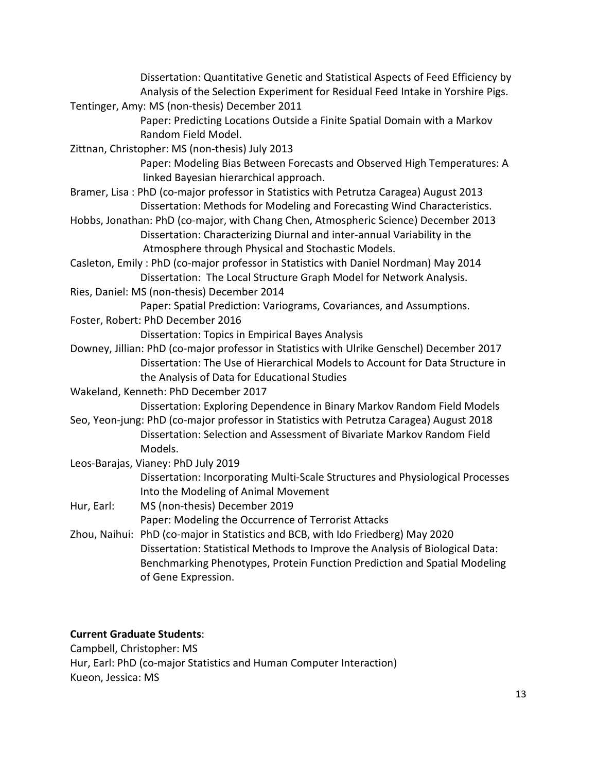|            | Dissertation: Quantitative Genetic and Statistical Aspects of Feed Efficiency by           |
|------------|--------------------------------------------------------------------------------------------|
|            | Analysis of the Selection Experiment for Residual Feed Intake in Yorshire Pigs.            |
|            | Tentinger, Amy: MS (non-thesis) December 2011                                              |
|            | Paper: Predicting Locations Outside a Finite Spatial Domain with a Markov                  |
|            | Random Field Model.                                                                        |
|            | Zittnan, Christopher: MS (non-thesis) July 2013                                            |
|            | Paper: Modeling Bias Between Forecasts and Observed High Temperatures: A                   |
|            | linked Bayesian hierarchical approach.                                                     |
|            | Bramer, Lisa: PhD (co-major professor in Statistics with Petrutza Caragea) August 2013     |
|            | Dissertation: Methods for Modeling and Forecasting Wind Characteristics.                   |
|            | Hobbs, Jonathan: PhD (co-major, with Chang Chen, Atmospheric Science) December 2013        |
|            | Dissertation: Characterizing Diurnal and inter-annual Variability in the                   |
|            | Atmosphere through Physical and Stochastic Models.                                         |
|            | Casleton, Emily: PhD (co-major professor in Statistics with Daniel Nordman) May 2014       |
|            | Dissertation: The Local Structure Graph Model for Network Analysis.                        |
|            | Ries, Daniel: MS (non-thesis) December 2014                                                |
|            | Paper: Spatial Prediction: Variograms, Covariances, and Assumptions.                       |
|            | Foster, Robert: PhD December 2016                                                          |
|            | <b>Dissertation: Topics in Empirical Bayes Analysis</b>                                    |
|            | Downey, Jillian: PhD (co-major professor in Statistics with Ulrike Genschel) December 2017 |
|            | Dissertation: The Use of Hierarchical Models to Account for Data Structure in              |
|            | the Analysis of Data for Educational Studies                                               |
|            | Wakeland, Kenneth: PhD December 2017                                                       |
|            | Dissertation: Exploring Dependence in Binary Markov Random Field Models                    |
|            | Seo, Yeon-jung: PhD (co-major professor in Statistics with Petrutza Caragea) August 2018   |
|            | Dissertation: Selection and Assessment of Bivariate Markov Random Field                    |
|            | Models.                                                                                    |
|            | Leos-Barajas, Vianey: PhD July 2019                                                        |
|            | Dissertation: Incorporating Multi-Scale Structures and Physiological Processes             |
|            | Into the Modeling of Animal Movement                                                       |
| Hur, Earl: | MS (non-thesis) December 2019                                                              |
|            | Paper: Modeling the Occurrence of Terrorist Attacks                                        |
|            | Zhou, Naihui: PhD (co-major in Statistics and BCB, with Ido Friedberg) May 2020            |
|            | Dissertation: Statistical Methods to Improve the Analysis of Biological Data:              |
|            | Benchmarking Phenotypes, Protein Function Prediction and Spatial Modeling                  |
|            | of Gene Expression.                                                                        |
|            |                                                                                            |

# **Current Graduate Students**:

Campbell, Christopher: MS Hur, Earl: PhD (co-major Statistics and Human Computer Interaction) Kueon, Jessica: MS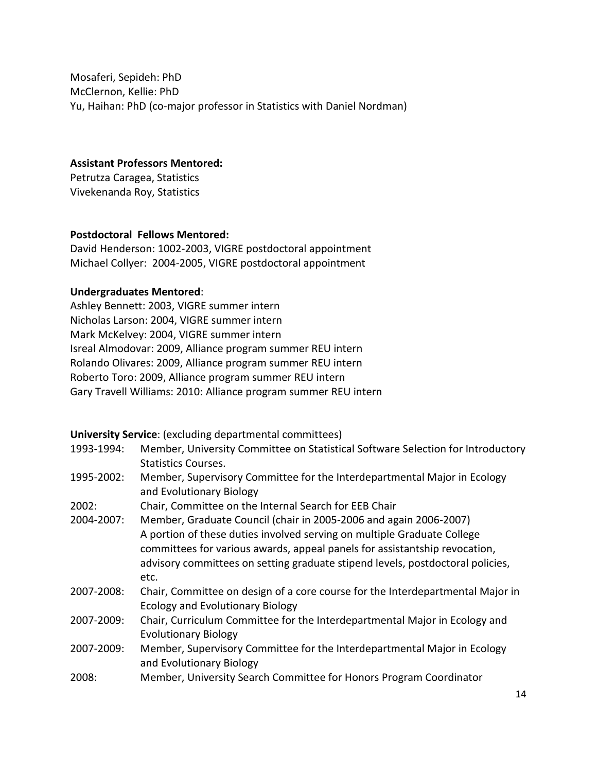Mosaferi, Sepideh: PhD McClernon, Kellie: PhD Yu, Haihan: PhD (co-major professor in Statistics with Daniel Nordman)

**Assistant Professors Mentored:**

Petrutza Caragea, Statistics Vivekenanda Roy, Statistics

## **Postdoctoral Fellows Mentored:**

David Henderson: 1002-2003, VIGRE postdoctoral appointment Michael Collyer: 2004-2005, VIGRE postdoctoral appointment

## **Undergraduates Mentored**:

Ashley Bennett: 2003, VIGRE summer intern Nicholas Larson: 2004, VIGRE summer intern Mark McKelvey: 2004, VIGRE summer intern Isreal Almodovar: 2009, Alliance program summer REU intern Rolando Olivares: 2009, Alliance program summer REU intern Roberto Toro: 2009, Alliance program summer REU intern Gary Travell Williams: 2010: Alliance program summer REU intern

**University Service**: (excluding departmental committees)

| 1993-1994: | Member, University Committee on Statistical Software Selection for Introductory<br><b>Statistics Courses.</b>             |
|------------|---------------------------------------------------------------------------------------------------------------------------|
| 1995-2002: | Member, Supervisory Committee for the Interdepartmental Major in Ecology<br>and Evolutionary Biology                      |
| 2002:      | Chair, Committee on the Internal Search for EEB Chair                                                                     |
| 2004-2007: | Member, Graduate Council (chair in 2005-2006 and again 2006-2007)                                                         |
|            | A portion of these duties involved serving on multiple Graduate College                                                   |
|            | committees for various awards, appeal panels for assistantship revocation,                                                |
|            | advisory committees on setting graduate stipend levels, postdoctoral policies,                                            |
|            | etc.                                                                                                                      |
| 2007-2008: | Chair, Committee on design of a core course for the Interdepartmental Major in<br><b>Ecology and Evolutionary Biology</b> |
| 2007-2009: | Chair, Curriculum Committee for the Interdepartmental Major in Ecology and<br><b>Evolutionary Biology</b>                 |
| 2007-2009: | Member, Supervisory Committee for the Interdepartmental Major in Ecology<br>and Evolutionary Biology                      |
| 2008:      | Member, University Search Committee for Honors Program Coordinator                                                        |